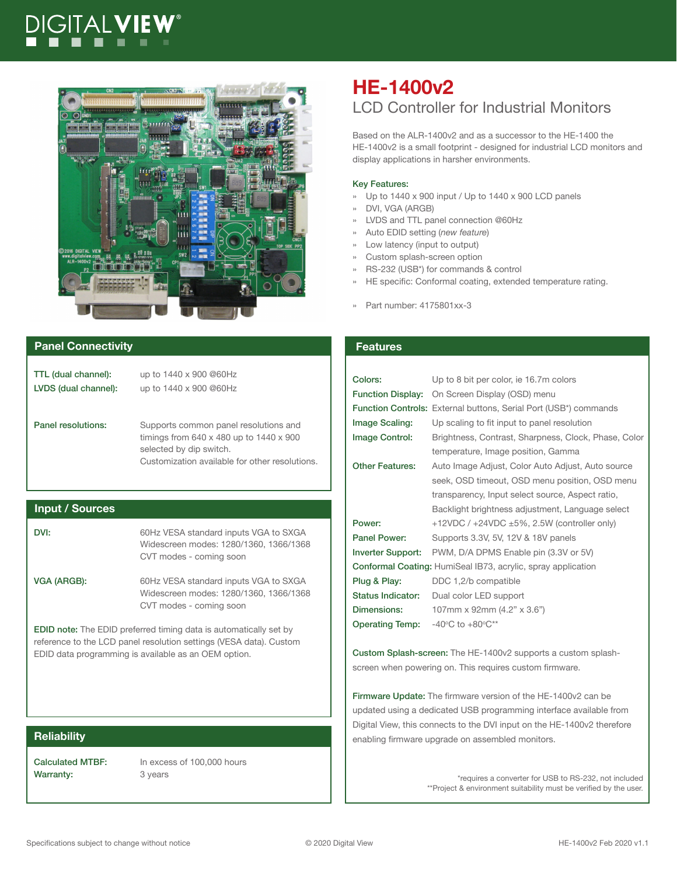# DIGITALV**IE**



#### **Panel Connectivity Features Features**

| TTL (dual channel):  | up to 1440 x 900 @60Hz                                |
|----------------------|-------------------------------------------------------|
| LVDS (dual channel): | up to 1440 x 900 @60Hz                                |
|                      |                                                       |
|                      |                                                       |
| Panel resolutions:   | Supports common panel resolutions and                 |
|                      | timings from $640 \times 480$ up to $1440 \times 900$ |
|                      | selected by dip switch.                               |
|                      | Customization available for other resolutions.        |
|                      |                                                       |

#### **Input / Sources**

DVI: 60Hz VESA standard inputs VGA to SXGA Widescreen modes: 1280/1360, 1366/1368 CVT modes - coming soon VGA (ARGB): 60Hz VESA standard inputs VGA to SXGA Widescreen modes: 1280/1360, 1366/1368 CVT modes - coming soon

EDID note: The EDID preferred timing data is automatically set by reference to the LCD panel resolution settings (VESA data). Custom EDID data programming is available as an OEM option.

Warranty: 3 years

Calculated MTBF: In excess of 100,000 hours

## **HE-1400v2** LCD Controller for Industrial Monitors

Based on the ALR-1400v2 and as a successor to the HE-1400 the HE-1400v2 is a small footprint - designed for industrial LCD monitors and display applications in harsher environments.

#### Key Features:

- » Up to 1440 x 900 input / Up to 1440 x 900 LCD panels
- » DVI, VGA (ARGB)
- » LVDS and TTL panel connection @60Hz
- » Auto EDID setting (*new feature*)
- » Low latency (input to output)
- » Custom splash-screen option
- » RS-232 (USB\*) for commands & control
- HE specific: Conformal coating, extended temperature rating.
- » Part number: 4175801xx-3

### Colors: Up to 8 bit per color, ie 16.7m colors Function Display: On Screen Display (OSD) menu Function Controls: External buttons, Serial Port (USB\*) commands Image Scaling: Up scaling to fit input to panel resolution Image Control: Brightness, Contrast, Sharpness, Clock, Phase, Color temperature, Image position, Gamma Other Features: Auto Image Adjust, Color Auto Adjust, Auto source seek, OSD timeout, OSD menu position, OSD menu transparency, Input select source, Aspect ratio, Backlight brightness adjustment, Language select **Power:**  $+12VDC / +24VDC \pm 5\%$ , 2.5W (controller only) Panel Power: Supports 3.3V, 5V, 12V & 18V panels Inverter Support: PWM, D/A DPMS Enable pin (3.3V or 5V) Conformal Coating: HumiSeal IB73, acrylic, spray application Plug & Play: DDC 1,2/b compatible Status Indicator: Dual color LED support **Dimensions:** 107mm x 92mm (4.2" x 3.6") **Operating Temp:**  $-40^{\circ}$ C to  $+80^{\circ}$ C\*\*

Custom Splash-screen: The HE-1400v2 supports a custom splashscreen when powering on. This requires custom firmware.

Firmware Update: The firmware version of the HE-1400v2 can be updated using a dedicated USB programming interface available from Digital View, this connects to the DVI input on the HE-1400v2 therefore **Reliability enablicability** enable the contract of the contract of the enabling firmware upgrade on assembled monitors.

> \*requires a converter for USB to RS-232, not included \*\*Project & environment suitability must be verified by the user.